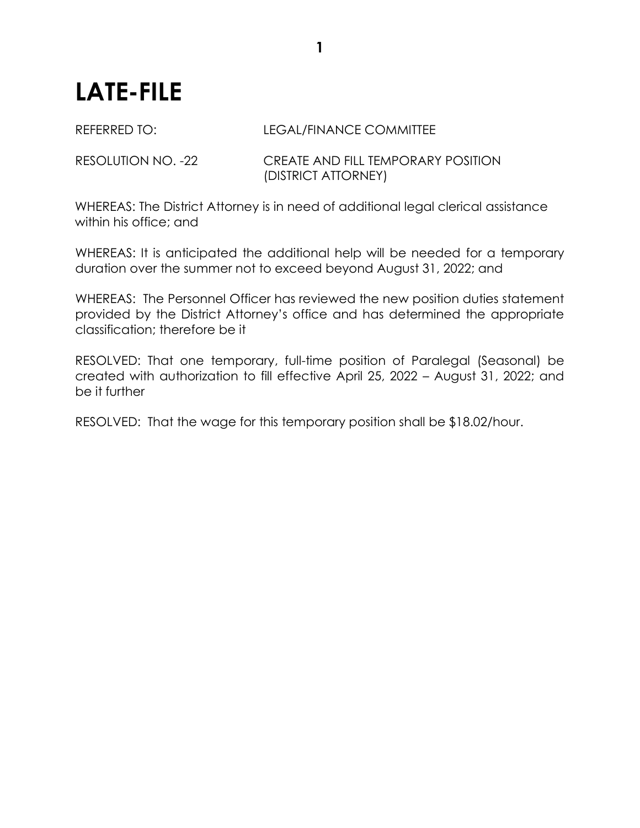## **LATE-FILE**

## REFERRED TO: LEGAL/FINANCE COMMITTEE

RESOLUTION NO. -22 CREATE AND FILL TEMPORARY POSITION (DISTRICT ATTORNEY)

WHEREAS: The District Attorney is in need of additional legal clerical assistance within his office; and

WHEREAS: It is anticipated the additional help will be needed for a temporary duration over the summer not to exceed beyond August 31, 2022; and

WHEREAS: The Personnel Officer has reviewed the new position duties statement provided by the District Attorney's office and has determined the appropriate classification; therefore be it

RESOLVED: That one temporary, full-time position of Paralegal (Seasonal) be created with authorization to fill effective April 25, 2022 – August 31, 2022; and be it further

RESOLVED: That the wage for this temporary position shall be \$18.02/hour.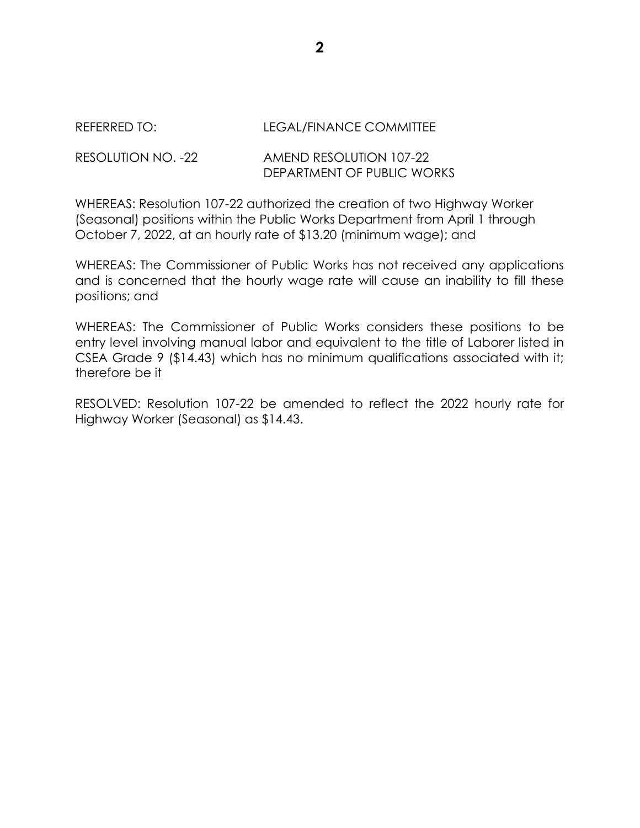## REFERRED TO: LEGAL/FINANCE COMMITTEE

## RESOLUTION NO. -22 AMEND RESOLUTION 107-22 DEPARTMENT OF PUBLIC WORKS

WHEREAS: Resolution 107-22 authorized the creation of two Highway Worker (Seasonal) positions within the Public Works Department from April 1 through October 7, 2022, at an hourly rate of \$13.20 (minimum wage); and

WHEREAS: The Commissioner of Public Works has not received any applications and is concerned that the hourly wage rate will cause an inability to fill these positions; and

WHEREAS: The Commissioner of Public Works considers these positions to be entry level involving manual labor and equivalent to the title of Laborer listed in CSEA Grade 9 (\$14.43) which has no minimum qualifications associated with it; therefore be it

RESOLVED: Resolution 107-22 be amended to reflect the 2022 hourly rate for Highway Worker (Seasonal) as \$14.43.